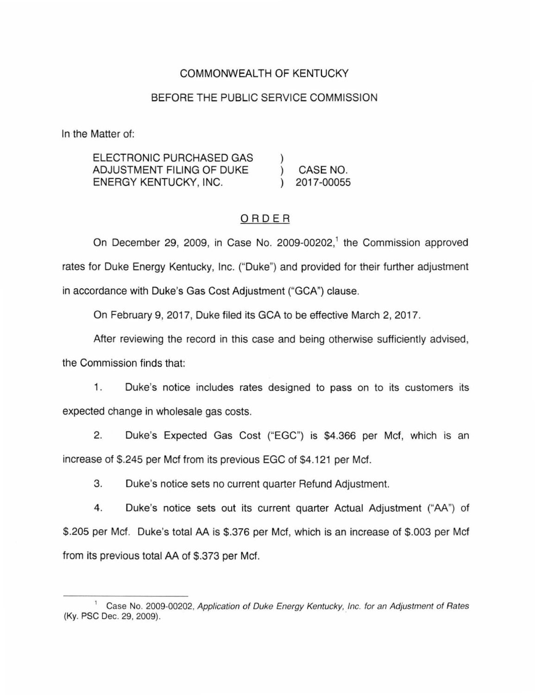# COMMONWEALTH OF KENTUCKY

## BEFORE THE PUBLIC SERVICE COMMISSION

In the Matter of:

ELECTRONIC PURCHASED GAS ADJUSTMENT FILING OF DUKE ENERGY KENTUCKY, INC. ) ) CASE NO. ) 2017-00055

### ORDER

On December 29, 2009, in Case No. 2009-00202,<sup>1</sup> the Commission approved rates for Duke Energy Kentucky, Inc. ("Duke") and provided for their further adjustment in accordance with Duke's Gas Cost Adjustment ("GCA") clause.

On February 9, 2017, Duke filed its GCA to be effective March 2, 2017.

After reviewing the record in this case and being otherwise sufficiently advised, the Commission finds that:

1. Duke's notice includes rates designed to pass on to its customers its expected change in wholesale gas costs.

2. Duke's Expected Gas Cost ("EGC") is \$4.366 per Mcf, which is an increase of \$.245 per Mcf from its previous EGC of \$4.121 per Mcf.

3. Duke's notice sets no current quarter Refund Adjustment.

4. Duke's notice sets out its current quarter Actual Adjustment ("AA") of \$.205 per Mcf. Duke's total AA is \$.376 per Mcf, which is an increase of \$.003 per Mcf from its previous total AA of \$.373 per Mcf.

<sup>&</sup>lt;sup>1</sup> Case No. 2009-00202, Application of Duke Energy Kentucky, Inc. for an Adjustment of Rates (Ky. PSC Dec. 29, 2009).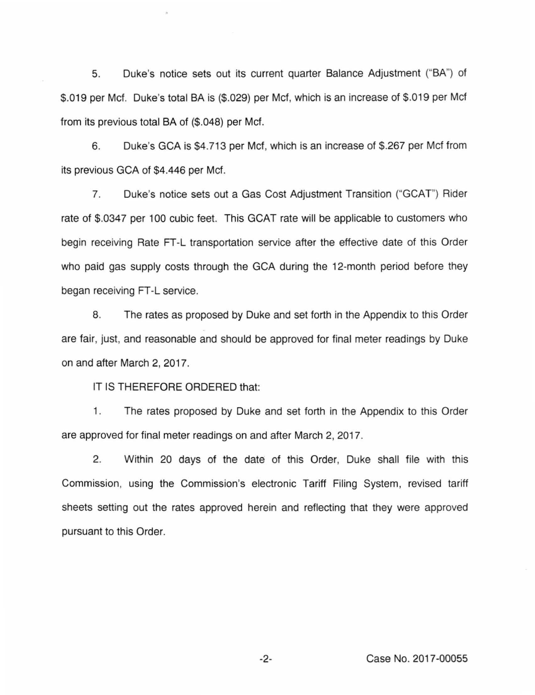5. Duke's notice sets out its current quarter Balance Adjustment ("BA") of \$.019 per Mcf. Duke's total BA is (\$.029) per Mcf, which is an increase of \$.019 per Mcf from its previous total BA of (\$.048) per Mcf.

6. Duke's GCA is \$4.713 per Mcf, which is an increase of \$.267 per Mcf from its previous GCA of \$4.446 per Mcf.

7. Duke's notice sets out a Gas Cost Adjustment Transition ("GCAT") Rider rate of \$.0347 per 100 cubic feet. This GCAT rate will be applicable to customers who begin receiving Rate FT-L transportation service after the effective date of this Order who paid gas supply costs through the GCA during the 12-month period before they began receiving FT -L service.

8. The rates as proposed by Duke and set forth in the Appendix to this Order are fair, just, and reasonable and should be approved for final meter readings by Duke on and after March 2, 2017.

IT IS THEREFORE ORDERED that:

1. The rates proposed by Duke and set forth in the Appendix to this Order are approved for final meter readings on and after March 2, 2017.

2. Within 20 days of the date of this Order, Duke shall file with this Commission, using the Commission's electronic Tariff Filing System, revised tariff sheets setting out the rates approved herein and reflecting that they were approved pursuant to this Order.

-2- Case No. 2017-00055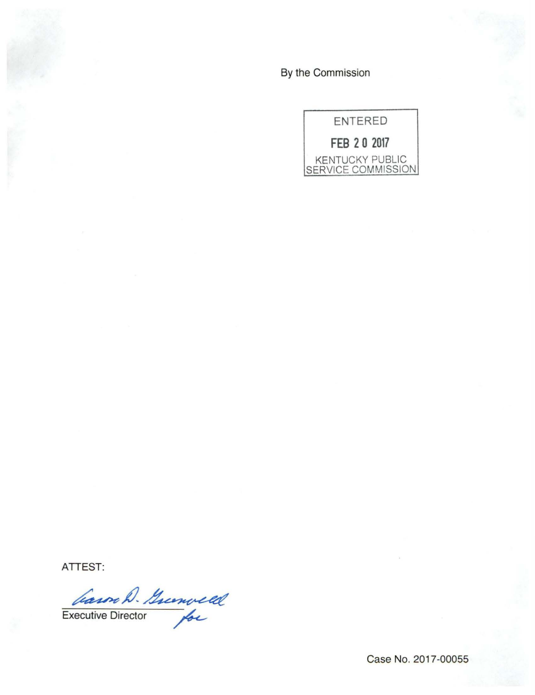By the Commission



**ATTEST:** 

Garon D. Greenveld Casor W. Greenveld

Case No. 2017-00055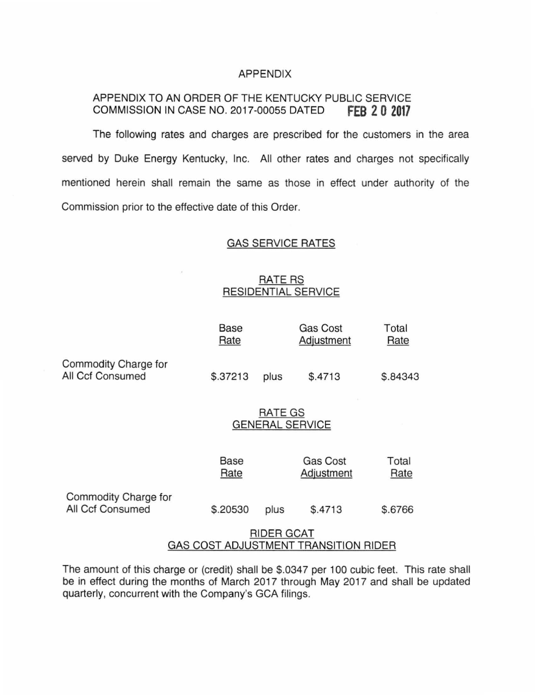#### APPENDIX

# APPENDIX TO AN ORDER OF THE KENTUCKY PUBLIC SERVICE COMMISSION IN CASE NO. 2017-00055 DATED **fEB 2 0 2017**

The following rates and charges are prescribed for the customers in the area served by Duke Energy Kentucky, Inc. All other rates and charges not specifically mentioned herein shall remain the same as those in effect under authority of the Commission prior to the effective date of this Order.

#### GAS SERVICE RATES

# **RATE RS** RESIDENTIAL SERVICE

|                                                           | Base<br>Rate                      |      | <b>Gas Cost</b><br>Adjustment | Total<br>Rate |
|-----------------------------------------------------------|-----------------------------------|------|-------------------------------|---------------|
| Commodity Charge for<br>All Ccf Consumed                  | \$.37213                          | plus | \$.4713                       | \$.84343      |
|                                                           | RATE GS<br><b>GENERAL SERVICE</b> |      |                               |               |
|                                                           | Base<br>Rate                      |      | <b>Gas Cost</b><br>Adjustment | Total<br>Rate |
| Commodity Charge for<br>All Ccf Consumed                  | \$.20530                          | plus | \$.4713                       | \$.6766       |
| <b>RIDER GCAT</b><br>GAS COST ADJUSTMENT TRANSITION RIDER |                                   |      |                               |               |

The amount of this charge or (credit) shall be \$.0347 per 100 cubic feet. This rate shall be in effect during the months of March 2017 through May 2017 and shall be updated quarterly, concurrent with the Company's GCA filings.